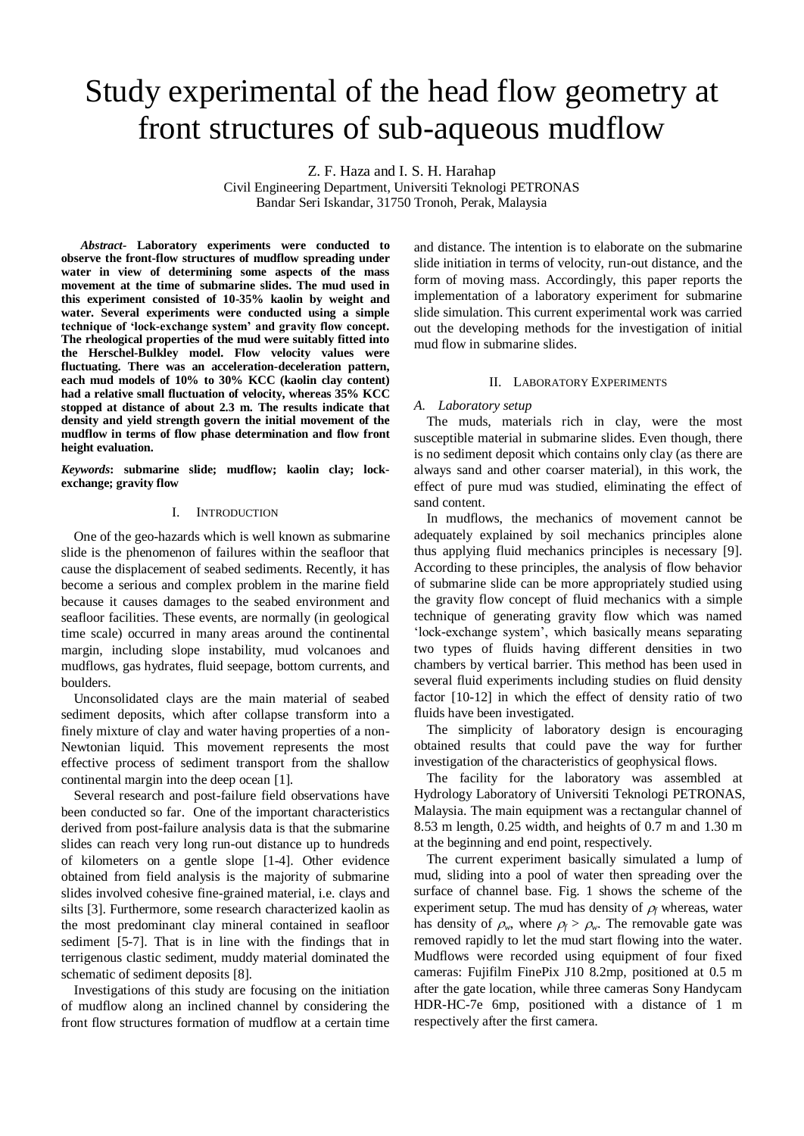# Study experimental of the head flow geometry at front structures of sub-aqueous mudflow

Z. F. Haza and I. S. H. Harahap

Civil Engineering Department, Universiti Teknologi PETRONAS Bandar Seri Iskandar, 31750 Tronoh, Perak, Malaysia

*Abstract-* **Laboratory experiments were conducted to observe the front-flow structures of mudflow spreading under water in view of determining some aspects of the mass movement at the time of submarine slides. The mud used in this experiment consisted of 10-35% kaolin by weight and water. Several experiments were conducted using a simple technique of 'lock-exchange system' and gravity flow concept. The rheological properties of the mud were suitably fitted into the Herschel-Bulkley model. Flow velocity values were fluctuating. There was an acceleration-deceleration pattern, each mud models of 10% to 30% KCC (kaolin clay content) had a relative small fluctuation of velocity, whereas 35% KCC stopped at distance of about 2.3 m. The results indicate that density and yield strength govern the initial movement of the mudflow in terms of flow phase determination and flow front height evaluation.**

*Keywords***: submarine slide; mudflow; kaolin clay; lockexchange; gravity flow**

# I. INTRODUCTION

One of the geo-hazards which is well known as submarine slide is the phenomenon of failures within the seafloor that cause the displacement of seabed sediments. Recently, it has become a serious and complex problem in the marine field because it causes damages to the seabed environment and seafloor facilities. These events, are normally (in geological time scale) occurred in many areas around the continental margin, including slope instability, mud volcanoes and mudflows, gas hydrates, fluid seepage, bottom currents, and boulders.

Unconsolidated clays are the main material of seabed sediment deposits, which after collapse transform into a finely mixture of clay and water having properties of a non-Newtonian liquid. This movement represents the most effective process of sediment transport from the shallow continental margin into the deep ocean [1].

Several research and post-failure field observations have been conducted so far. One of the important characteristics derived from post-failure analysis data is that the submarine slides can reach very long run-out distance up to hundreds of kilometers on a gentle slope [1-4]. Other evidence obtained from field analysis is the majority of submarine slides involved cohesive fine-grained material, i.e. clays and silts [3]. Furthermore, some research characterized kaolin as the most predominant clay mineral contained in seafloor sediment [5-7]. That is in line with the findings that in terrigenous clastic sediment, muddy material dominated the schematic of sediment deposits [8].

Investigations of this study are focusing on the initiation of mudflow along an inclined channel by considering the front flow structures formation of mudflow at a certain time

and distance. The intention is to elaborate on the submarine slide initiation in terms of velocity, run-out distance, and the form of moving mass. Accordingly, this paper reports the implementation of a laboratory experiment for submarine slide simulation. This current experimental work was carried out the developing methods for the investigation of initial mud flow in submarine slides.

## II. LABORATORY EXPERIMENTS

#### *A. Laboratory setup*

The muds, materials rich in clay, were the most susceptible material in submarine slides. Even though, there is no sediment deposit which contains only clay (as there are always sand and other coarser material), in this work, the effect of pure mud was studied, eliminating the effect of sand content.

In mudflows, the mechanics of movement cannot be adequately explained by soil mechanics principles alone thus applying fluid mechanics principles is necessary [9]. According to these principles, the analysis of flow behavior of submarine slide can be more appropriately studied using the gravity flow concept of fluid mechanics with a simple technique of generating gravity flow which was named 'lock-exchange system', which basically means separating two types of fluids having different densities in two chambers by vertical barrier. This method has been used in several fluid experiments including studies on fluid density factor [10-12] in which the effect of density ratio of two fluids have been investigated.

The simplicity of laboratory design is encouraging obtained results that could pave the way for further investigation of the characteristics of geophysical flows.

The facility for the laboratory was assembled at Hydrology Laboratory of Universiti Teknologi PETRONAS, Malaysia. The main equipment was a rectangular channel of 8.53 m length, 0.25 width, and heights of 0.7 m and 1.30 m at the beginning and end point, respectively.

The current experiment basically simulated a lump of mud, sliding into a pool of water then spreading over the surface of channel base. Fig. 1 shows the scheme of the experiment setup. The mud has density of  $\rho_f$  whereas, water has density of  $\rho_w$ , where  $\rho_f > \rho_w$ . The removable gate was removed rapidly to let the mud start flowing into the water. Mudflows were recorded using equipment of four fixed cameras: Fujifilm FinePix J10 8.2mp, positioned at 0.5 m after the gate location, while three cameras Sony Handycam HDR-HC-7e 6mp, positioned with a distance of 1 m respectively after the first camera.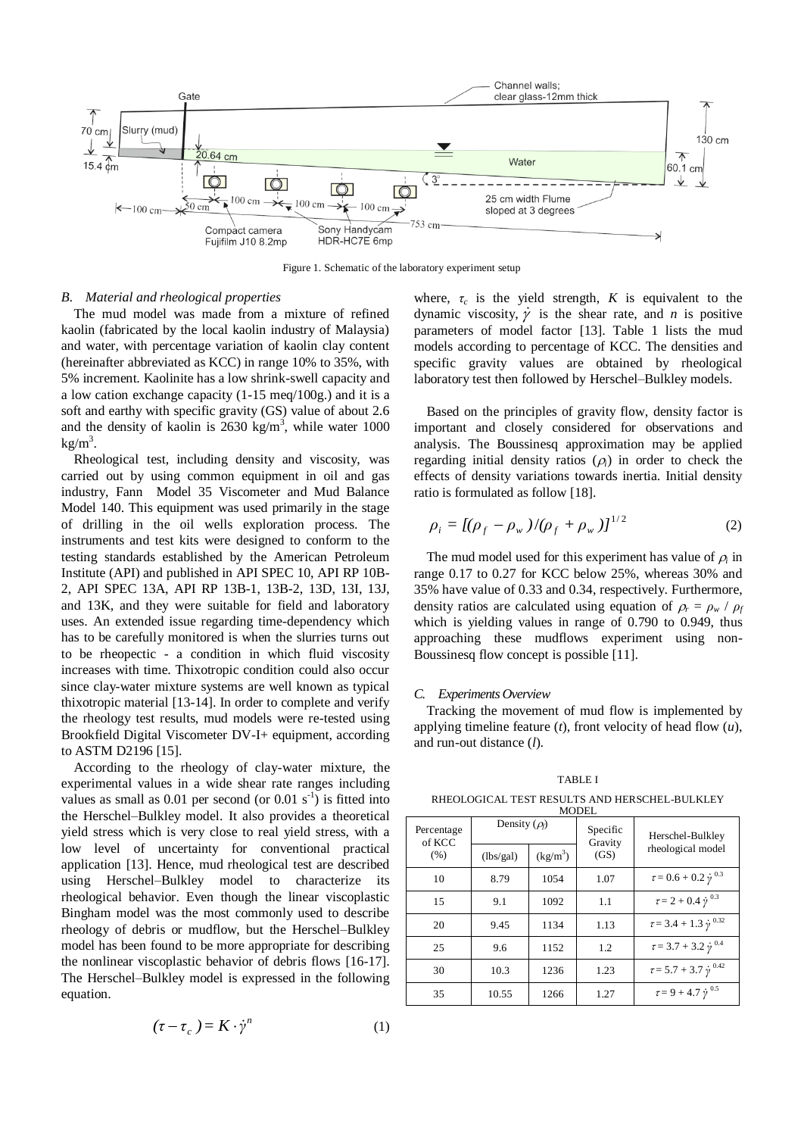

Figure 1. Schematic of the laboratory experiment setup

#### *B. Material and rheological properties*

The mud model was made from a mixture of refined kaolin (fabricated by the local kaolin industry of Malaysia) and water, with percentage variation of kaolin clay content (hereinafter abbreviated as KCC) in range 10% to 35%, with 5% increment. Kaolinite has a low shrink-swell capacity and a low cation exchange capacity (1-15 meq/100g.) and it is a soft and earthy with specific gravity (GS) value of about 2.6 and the density of kaolin is  $2630 \text{ kg/m}^3$ , while water 1000  $kg/m<sup>3</sup>$ .

Rheological test, including density and viscosity, was carried out by using common equipment in oil and gas industry, Fann Model 35 Viscometer and Mud Balance Model 140. This equipment was used primarily in the stage of drilling in the oil wells exploration process. The instruments and test kits were designed to conform to the testing standards established by the American Petroleum Institute (API) and published in API SPEC 10, API RP 10B-2, API SPEC 13A, API RP 13B-1, 13B-2, 13D, 13I, 13J, and 13K, and they were suitable for field and laboratory uses. An extended issue regarding time-dependency which has to be carefully monitored is when the slurries turns out to be rheopectic - a condition in which fluid viscosity increases with time. Thixotropic condition could also occur since clay-water mixture systems are well known as typical thixotropic material [13-14]. In order to complete and verify the rheology test results, mud models were re-tested using Brookfield Digital Viscometer DV-I+ equipment, according to ASTM D2196 [15].

According to the rheology of clay-water mixture, the experimental values in a wide shear rate ranges including values as small as 0.01 per second (or  $0.01$  s<sup>-1</sup>) is fitted into the Herschel–Bulkley model. It also provides a theoretical yield stress which is very close to real yield stress, with a low level of uncertainty for conventional practical application [13]. Hence, mud rheological test are described using Herschel–Bulkley model to characterize its rheological behavior. Even though the linear viscoplastic Bingham model was the most commonly used to describe rheology of debris or mudflow, but the Herschel–Bulkley model has been found to be more appropriate for describing the nonlinear viscoplastic behavior of debris flows [16-17]. The Herschel–Bulkley model is expressed in the following equation.

$$
(\tau - \tau_c) = K \cdot \dot{\gamma}^n \tag{1}
$$

where,  $\tau_c$  is the yield strength, *K* is equivalent to the dynamic viscosity,  $\dot{\gamma}$  is the shear rate, and *n* is positive parameters of model factor [13]. Table 1 lists the mud models according to percentage of KCC. The densities and specific gravity values are obtained by rheological laboratory test then followed by Herschel–Bulkley models.

Based on the principles of gravity flow, density factor is important and closely considered for observations and analysis. The Boussinesq approximation may be applied regarding initial density ratios  $(\rho_i)$  in order to check the effects of density variations towards inertia. Initial density ratio is formulated as follow [18].

$$
\rho_i = [(\rho_f - \rho_w)/(\rho_f + \rho_w)]^{1/2}
$$
 (2)

The mud model used for this experiment has value of  $\rho_i$  in range 0.17 to 0.27 for KCC below 25%, whereas 30% and 35% have value of 0.33 and 0.34, respectively. Furthermore, density ratios are calculated using equation of  $\rho_r = \rho_w / \rho_f$ which is yielding values in range of 0.790 to 0.949, thus approaching these mudflows experiment using non-Boussinesq flow concept is possible [11].

### *C. Experiments Overview*

Tracking the movement of mud flow is implemented by applying timeline feature (*t*), front velocity of head flow (*u*), and run-out distance (*l*).

TABLE I RHEOLOGICAL TEST RESULTS AND HERSCHEL-BULKLEY

| MODEL                        |                    |            |                     |                                        |  |  |  |  |
|------------------------------|--------------------|------------|---------------------|----------------------------------------|--|--|--|--|
| Percentage<br>of KCC<br>(% ) | Density $(\rho_f)$ |            | Specific<br>Gravity | Herschel-Bulkley                       |  |  |  |  |
|                              | (lbs/gal)          | $(kg/m^3)$ | (GS)                | rheological model                      |  |  |  |  |
| 10                           | 8.79               | 1054       | 1.07                | $\tau = 0.6 + 0.2 \dot{v}^{0.3}$       |  |  |  |  |
| 15                           | 9.1                | 1092       | 1.1                 | $\tau\!=2+0.4$ $\dot{\gamma}$ $^{0.3}$ |  |  |  |  |
| 20                           | 9.45               | 1134       | 1.13                | $\tau = 3.4 + 1.3 \dot{\gamma}^{0.32}$ |  |  |  |  |
| 25                           | 9.6                | 1152       | 1.2                 | $\tau = 3.7 + 3.2 \dot{v}^{0.4}$       |  |  |  |  |
| 30                           | 10.3               | 1236       | 1.23                | $\tau = 5.7 + 3.7 \dot{\gamma}^{0.42}$ |  |  |  |  |
| 35                           | 10.55              | 1266       | 1.27                | $\tau\!=9+4.7\,\dot{\gamma}^{\,0.5}$   |  |  |  |  |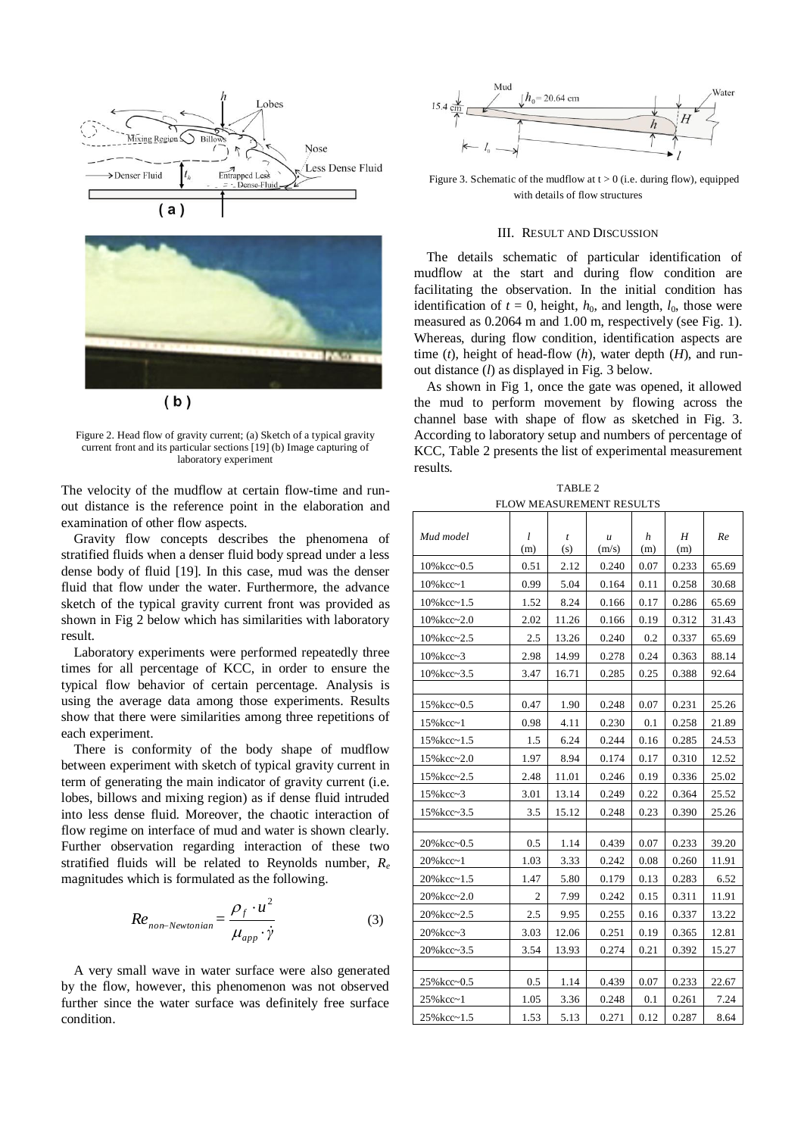



Figure 2. Head flow of gravity current; (a) Sketch of a typical gravity current front and its particular sections [19] (b) Image capturing of laboratory experiment

The velocity of the mudflow at certain flow-time and runout distance is the reference point in the elaboration and examination of other flow aspects.

Gravity flow concepts describes the phenomena of stratified fluids when a denser fluid body spread under a less dense body of fluid [19]. In this case, mud was the denser fluid that flow under the water. Furthermore, the advance sketch of the typical gravity current front was provided as shown in Fig 2 below which has similarities with laboratory result.

Laboratory experiments were performed repeatedly three times for all percentage of KCC, in order to ensure the typical flow behavior of certain percentage. Analysis is using the average data among those experiments. Results show that there were similarities among three repetitions of each experiment.

There is conformity of the body shape of mudflow between experiment with sketch of typical gravity current in term of generating the main indicator of gravity current (i.e. lobes, billows and mixing region) as if dense fluid intruded into less dense fluid. Moreover, the chaotic interaction of flow regime on interface of mud and water is shown clearly. Further observation regarding interaction of these two stratified fluids will be related to Reynolds number, *R<sup>e</sup>* magnitudes which is formulated as the following.

$$
Re_{non-Newtonian} = \frac{\rho_f \cdot u^2}{\mu_{app} \cdot \dot{\gamma}}
$$
 (3)

A very small wave in water surface were also generated by the flow, however, this phenomenon was not observed further since the water surface was definitely free surface condition.



Figure 3. Schematic of the mudflow at  $t > 0$  (i.e. during flow), equipped with details of flow structures

## III. RESULT AND DISCUSSION

The details schematic of particular identification of mudflow at the start and during flow condition are facilitating the observation. In the initial condition has identification of  $t = 0$ , height,  $h_0$ , and length,  $l_0$ , those were measured as 0.2064 m and 1.00 m, respectively (see Fig. 1). Whereas, during flow condition, identification aspects are time (*t*), height of head-flow (*h*), water depth (*H*), and runout distance (*l*) as displayed in Fig. 3 below.

As shown in Fig 1, once the gate was opened, it allowed the mud to perform movement by flowing across the channel base with shape of flow as sketched in Fig. 3. According to laboratory setup and numbers of percentage of KCC, Table 2 presents the list of experimental measurement results.

TABLE 2 FLOW MEASUREMENT RESULTS

| Mud model             | l    | t     | $\mathfrak u$ | h    | Η     | Re    |
|-----------------------|------|-------|---------------|------|-------|-------|
|                       | (m)  | (s)   | (m/s)         | (m)  | (m)   |       |
| 10%kcc~0.5            | 0.51 | 2.12  | 0.240         | 0.07 | 0.233 | 65.69 |
| $10\%$ kcc $\sim$ 1   | 0.99 | 5.04  | 0.164         | 0.11 | 0.258 | 30.68 |
| $10\%$ kcc $\sim$ 1.5 | 1.52 | 8.24  | 0.166         | 0.17 | 0.286 | 65.69 |
| 10%kcc~2.0            | 2.02 | 11.26 | 0.166         | 0.19 | 0.312 | 31.43 |
| $10\%$ kcc~2.5        | 2.5  | 13.26 | 0.240         | 0.2  | 0.337 | 65.69 |
| $10\%$ kcc~3          | 2.98 | 14.99 | 0.278         | 0.24 | 0.363 | 88.14 |
| $10\%$ kcc $\sim$ 3.5 | 3.47 | 16.71 | 0.285         | 0.25 | 0.388 | 92.64 |
|                       |      |       |               |      |       |       |
| 15% kcc~0.5           | 0.47 | 1.90  | 0.248         | 0.07 | 0.231 | 25.26 |
| 15% kcc~1             | 0.98 | 4.11  | 0.230         | 0.1  | 0.258 | 21.89 |
| $15\%$ kcc~1.5        | 1.5  | 6.24  | 0.244         | 0.16 | 0.285 | 24.53 |
| 15% kcc~2.0           | 1.97 | 8.94  | 0.174         | 0.17 | 0.310 | 12.52 |
| 15% kcc~2.5           | 2.48 | 11.01 | 0.246         | 0.19 | 0.336 | 25.02 |
| 15% kcc~3             | 3.01 | 13.14 | 0.249         | 0.22 | 0.364 | 25.52 |
| 15% kcc~3.5           | 3.5  | 15.12 | 0.248         | 0.23 | 0.390 | 25.26 |
|                       |      |       |               |      |       |       |
| 20% kcc~0.5           | 0.5  | 1.14  | 0.439         | 0.07 | 0.233 | 39.20 |
| $20%kcc-1$            | 1.03 | 3.33  | 0.242         | 0.08 | 0.260 | 11.91 |
| 20% kcc~1.5           | 1.47 | 5.80  | 0.179         | 0.13 | 0.283 | 6.52  |
| 20%kcc~2.0            | 2    | 7.99  | 0.242         | 0.15 | 0.311 | 11.91 |
| 20%kcc~2.5            | 2.5  | 9.95  | 0.255         | 0.16 | 0.337 | 13.22 |
| $20%kcc-3$            | 3.03 | 12.06 | 0.251         | 0.19 | 0.365 | 12.81 |
| 20% kcc~3.5           | 3.54 | 13.93 | 0.274         | 0.21 | 0.392 | 15.27 |
|                       |      |       |               |      |       |       |
| 25% kcc~0.5           | 0.5  | 1.14  | 0.439         | 0.07 | 0.233 | 22.67 |
| 25% kcc~1             | 1.05 | 3.36  | 0.248         | 0.1  | 0.261 | 7.24  |
| 25% kcc~1.5           | 1.53 | 5.13  | 0.271         | 0.12 | 0.287 | 8.64  |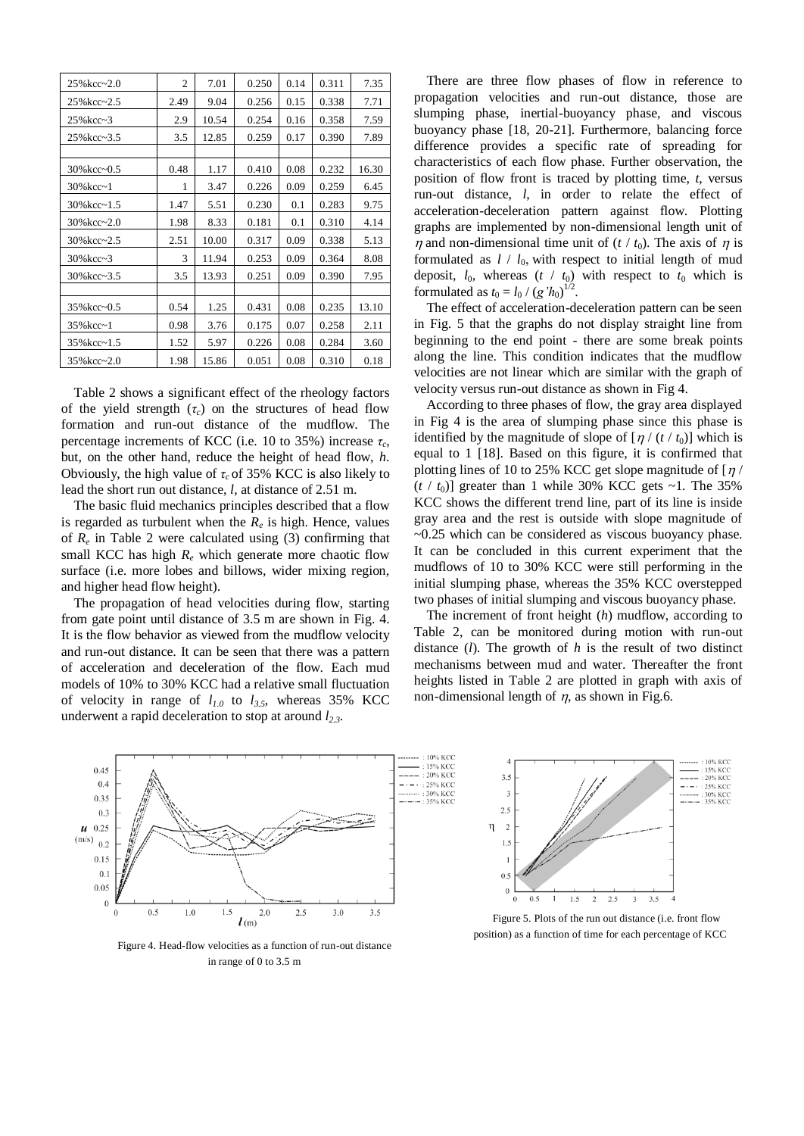| 25%kcc~2.0          | $\overline{2}$ | 7.01  | 0.250 | 0.14 | 0.311 | 7.35  |
|---------------------|----------------|-------|-------|------|-------|-------|
| 25% kcc~2.5         | 2.49           | 9.04  | 0.256 | 0.15 | 0.338 | 7.71  |
| $25%kcc-3$          | 2.9            | 10.54 | 0.254 | 0.16 | 0.358 | 7.59  |
| 25% kcc~3.5         | 3.5            | 12.85 | 0.259 | 0.17 | 0.390 | 7.89  |
|                     |                |       |       |      |       |       |
| 30% kcc~0.5         | 0.48           | 1.17  | 0.410 | 0.08 | 0.232 | 16.30 |
| $30%kcc-1$          | 1              | 3.47  | 0.226 | 0.09 | 0.259 | 6.45  |
| $30\%$ kcc~1.5      | 1.47           | 5.51  | 0.230 | 0.1  | 0.283 | 9.75  |
| $30\%$ kcc~2.0      | 1.98           | 8.33  | 0.181 | 0.1  | 0.310 | 4.14  |
| 30%kcc~2.5          | 2.51           | 10.00 | 0.317 | 0.09 | 0.338 | 5.13  |
| $30\%$ kcc $\sim$ 3 | 3              | 11.94 | 0.253 | 0.09 | 0.364 | 8.08  |
| 30%kcc~3.5          | 3.5            | 13.93 | 0.251 | 0.09 | 0.390 | 7.95  |
|                     |                |       |       |      |       |       |
| 35% kcc~0.5         | 0.54           | 1.25  | 0.431 | 0.08 | 0.235 | 13.10 |
| $35%kcc-1$          | 0.98           | 3.76  | 0.175 | 0.07 | 0.258 | 2.11  |
| 35% kcc~1.5         | 1.52           | 5.97  | 0.226 | 0.08 | 0.284 | 3.60  |
| $35\%$ kcc~2.0      | 1.98           | 15.86 | 0.051 | 0.08 | 0.310 | 0.18  |

Table 2 shows a significant effect of the rheology factors of the yield strength  $(\tau_c)$  on the structures of head flow formation and run-out distance of the mudflow. The percentage increments of KCC (i.e. 10 to 35%) increase *τ<sup>c</sup>* , but, on the other hand, reduce the height of head flow, *h*. Obviously, the high value of  $\tau_c$  of 35% KCC is also likely to lead the short run out distance, *l*, at distance of 2.51 m.

The basic fluid mechanics principles described that a flow is regarded as turbulent when the  $R_e$  is high. Hence, values of  $R_e$  in Table 2 were calculated using (3) confirming that small KCC has high  $R_e$  which generate more chaotic flow surface (i.e. more lobes and billows, wider mixing region, and higher head flow height).

The propagation of head velocities during flow, starting from gate point until distance of 3.5 m are shown in Fig. 4. It is the flow behavior as viewed from the mudflow velocity and run-out distance. It can be seen that there was a pattern of acceleration and deceleration of the flow. Each mud models of 10% to 30% KCC had a relative small fluctuation of velocity in range of *l1.0* to *l3.5*, whereas 35% KCC underwent a rapid deceleration to stop at around *l2.3*.

There are three flow phases of flow in reference to propagation velocities and run-out distance, those are slumping phase, inertial-buoyancy phase, and viscous buoyancy phase [18, 20-21]. Furthermore, balancing force difference provides a specific rate of spreading for characteristics of each flow phase. Further observation, the position of flow front is traced by plotting time, *t*, versus run-out distance, *l*, in order to relate the effect of acceleration-deceleration pattern against flow. Plotting graphs are implemented by non-dimensional length unit of  $\eta$  and non-dimensional time unit of (*t* / *t*<sub>0</sub>). The axis of  $\eta$  is formulated as  $l / l_0$ , with respect to initial length of mud deposit,  $l_0$ , whereas  $(t / t_0)$  with respect to  $t_0$  which is formulated as  $t_0 = l_0 / (g'h_0)^{1/2}$ .

The effect of acceleration-deceleration pattern can be seen in Fig. 5 that the graphs do not display straight line from beginning to the end point - there are some break points along the line. This condition indicates that the mudflow velocities are not linear which are similar with the graph of velocity versus run-out distance as shown in Fig 4.

According to three phases of flow, the gray area displayed in Fig 4 is the area of slumping phase since this phase is identified by the magnitude of slope of  $\left[\frac{\eta}{t_0}\right]$  which is equal to 1 [18]. Based on this figure, it is confirmed that plotting lines of 10 to 25% KCC get slope magnitude of  $\lfloor \eta \rfloor$  $(t / t_0)$ ] greater than 1 while 30% KCC gets ~1. The 35% KCC shows the different trend line, part of its line is inside gray area and the rest is outside with slope magnitude of  $\sim$ 0.25 which can be considered as viscous buoyancy phase. It can be concluded in this current experiment that the mudflows of 10 to 30% KCC were still performing in the initial slumping phase, whereas the 35% KCC overstepped two phases of initial slumping and viscous buoyancy phase.

The increment of front height (*h*) mudflow, according to Table 2, can be monitored during motion with run-out distance (*l*). The growth of *h* is the result of two distinct mechanisms between mud and water. Thereafter the front heights listed in Table 2 are plotted in graph with axis of non-dimensional length of  $\eta$ , as shown in Fig.6.



Figure 4. Head-flow velocities as a function of run-out distance in range of 0 to 3.5 m



Figure 5. Plots of the run out distance (i.e. front flow position) as a function of time for each percentage of KCC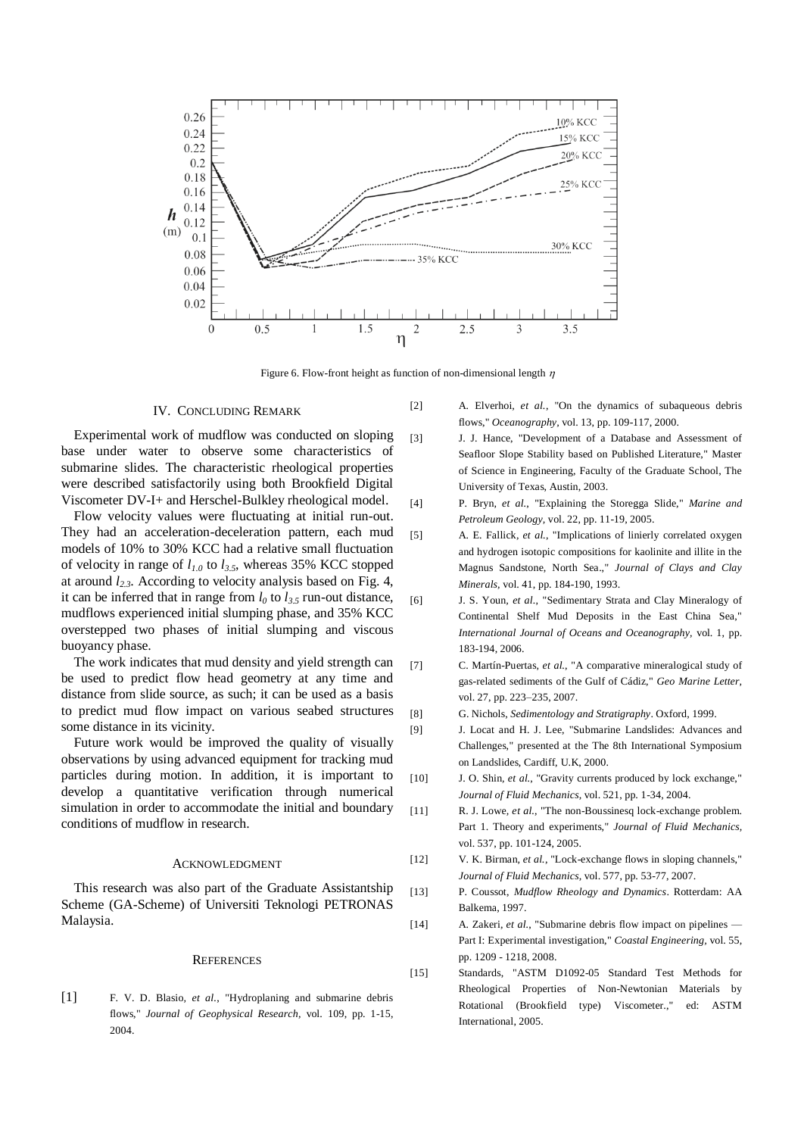

Figure 6. Flow-front height as function of non-dimensional length  $\eta$ 

#### IV. CONCLUDING REMARK

Experimental work of mudflow was conducted on sloping base under water to observe some characteristics of submarine slides. The characteristic rheological properties were described satisfactorily using both Brookfield Digital Viscometer DV-I+ and Herschel-Bulkley rheological model.

Flow velocity values were fluctuating at initial run-out. They had an acceleration-deceleration pattern, each mud models of 10% to 30% KCC had a relative small fluctuation of velocity in range of *l1.0* to *l3.5*, whereas 35% KCC stopped at around *l2.3*. According to velocity analysis based on Fig. 4, it can be inferred that in range from  $l_0$  to  $l_{3.5}$  run-out distance, mudflows experienced initial slumping phase, and 35% KCC overstepped two phases of initial slumping and viscous buoyancy phase.

The work indicates that mud density and yield strength can be used to predict flow head geometry at any time and distance from slide source, as such; it can be used as a basis to predict mud flow impact on various seabed structures some distance in its vicinity.

Future work would be improved the quality of visually observations by using advanced equipment for tracking mud particles during motion. In addition, it is important to develop a quantitative verification through numerical simulation in order to accommodate the initial and boundary conditions of mudflow in research.

## ACKNOWLEDGMENT

This research was also part of the Graduate Assistantship Scheme (GA-Scheme) of Universiti Teknologi PETRONAS Malaysia.

#### **REFERENCES**

[1] F. V. D. Blasio*, et al.*, "Hydroplaning and submarine debris flows," *Journal of Geophysical Research,* vol. 109, pp. 1-15, 2004.

- [2] A. Elverhoi*, et al.*, "On the dynamics of subaqueous debris flows," *Oceanography,* vol. 13, pp. 109-117, 2000.
- [3] J. J. Hance, "Development of a Database and Assessment of Seafloor Slope Stability based on Published Literature," Master of Science in Engineering, Faculty of the Graduate School, The University of Texas, Austin, 2003.
- [4] P. Bryn*, et al.*, "Explaining the Storegga Slide," *Marine and Petroleum Geology,* vol. 22, pp. 11-19, 2005.
- [5] A. E. Fallick*, et al.*, "Implications of linierly correlated oxygen and hydrogen isotopic compositions for kaolinite and illite in the Magnus Sandstone, North Sea.," *Journal of Clays and Clay Minerals,* vol. 41, pp. 184-190, 1993.
- [6] J. S. Youn*, et al.*, "Sedimentary Strata and Clay Mineralogy of Continental Shelf Mud Deposits in the East China Sea," *International Journal of Oceans and Oceanography,* vol. 1, pp. 183-194, 2006.
- [7] C. Martín-Puertas*, et al.*, "A comparative mineralogical study of gas-related sediments of the Gulf of Cádiz," *Geo Marine Letter,*  vol. 27, pp. 223–235, 2007.
- [8] G. Nichols, *Sedimentology and Stratigraphy*. Oxford, 1999.
- [9] J. Locat and H. J. Lee, "Submarine Landslides: Advances and Challenges," presented at the The 8th International Symposium on Landslides, Cardiff, U.K, 2000.
- [10] J. O. Shin, et al., "Gravity currents produced by lock exchange," *Journal of Fluid Mechanics,* vol. 521, pp. 1-34, 2004.
- [11] R. J. Lowe*, et al.*, "The non-Boussinesq lock-exchange problem. Part 1. Theory and experiments," *Journal of Fluid Mechanics,*  vol. 537, pp. 101-124, 2005.
- [12] V. K. Birman*, et al.*, "Lock-exchange flows in sloping channels," *Journal of Fluid Mechanics,* vol. 577, pp. 53-77, 2007.
- [13] P. Coussot, *Mudflow Rheology and Dynamics*. Rotterdam: AA Balkema, 1997.
- [14] A. Zakeri*, et al.*, "Submarine debris flow impact on pipelines Part I: Experimental investigation," *Coastal Engineering,* vol. 55, pp. 1209 - 1218, 2008.
- [15] Standards, "ASTM D1092-05 Standard Test Methods for Rheological Properties of Non-Newtonian Materials by Rotational (Brookfield type) Viscometer.," ed: ASTM International, 2005.